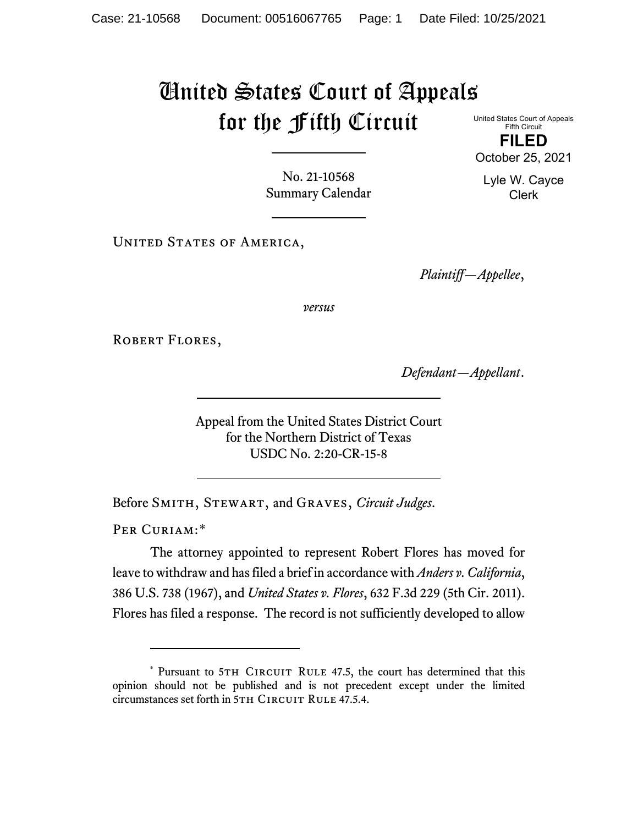## United States Court of Appeals for the Fifth Circuit

United States Court of Appeals Fifth Circuit **FILED** October 25, 2021

Lyle W. Cayce Clerk

No. 21-10568 Summary Calendar

UNITED STATES OF AMERICA,

*Plaintiff—Appellee*,

*versus*

ROBERT FLORES,

*Defendant—Appellant*.

Appeal from the United States District Court for the Northern District of Texas USDC No. 2:20-CR-15-8

Before Smith, Stewart, and Graves, *Circuit Judges*.

PER CURIAM:[\\*](#page-0-0)

<span id="page-0-1"></span>The attorney appointed to represent Robert Flores has moved for leave to withdraw and has filed a brief in accordance with *Anders v. California*, 386 U.S. 738 (1967), and *United States v. Flores*, 632 F.3d 229 (5th Cir. 2011). Flores has filed a response. The record is not sufficiently developed to allow

<span id="page-0-0"></span><sup>\*</sup> Pursuant to 5TH CIRCUIT RULE 47.5, the court has determined that this opinion should not be published and is not precedent except under the limited circumstances set forth in 5TH CIRCUIT RULE 47.5.4.